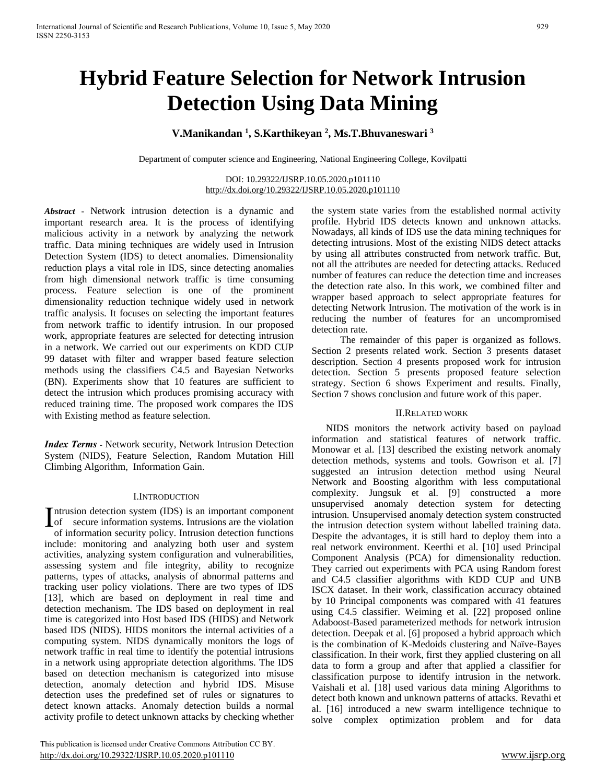# **Hybrid Feature Selection for Network Intrusion Detection Using Data Mining**

# **V.Manikandan <sup>1</sup> , S.Karthikeyan <sup>2</sup> , Ms.T.Bhuvaneswari <sup>3</sup>**

Department of computer science and Engineering, National Engineering College, Kovilpatti

## DOI: 10.29322/IJSRP.10.05.2020.p101110 <http://dx.doi.org/10.29322/IJSRP.10.05.2020.p101110>

*Abstract* - Network intrusion detection is a dynamic and important research area. It is the process of identifying malicious activity in a network by analyzing the network traffic. Data mining techniques are widely used in Intrusion Detection System (IDS) to detect anomalies. Dimensionality reduction plays a vital role in IDS, since detecting anomalies from high dimensional network traffic is time consuming process. Feature selection is one of the prominent dimensionality reduction technique widely used in network traffic analysis. It focuses on selecting the important features from network traffic to identify intrusion. In our proposed work, appropriate features are selected for detecting intrusion in a network. We carried out our experiments on KDD CUP 99 dataset with filter and wrapper based feature selection methods using the classifiers C4.5 and Bayesian Networks (BN). Experiments show that 10 features are sufficient to detect the intrusion which produces promising accuracy with reduced training time. The proposed work compares the IDS with Existing method as feature selection.

*Index Terms -* Network security, Network Intrusion Detection System (NIDS), Feature Selection, Random Mutation Hill Climbing Algorithm, Information Gain.

# I.INTRODUCTION

Intrusion detection system (IDS) is an important component<br>of secure information systems. Intrusions are the violation of secure information systems. Intrusions are the violation of information security policy. Intrusion detection functions include: monitoring and analyzing both user and system activities, analyzing system configuration and vulnerabilities, assessing system and file integrity, ability to recognize patterns, types of attacks, analysis of abnormal patterns and tracking user policy violations. There are two types of IDS [13], which are based on deployment in real time and detection mechanism. The IDS based on deployment in real time is categorized into Host based IDS (HIDS) and Network based IDS (NIDS). HIDS monitors the internal activities of a computing system. NIDS dynamically monitors the logs of network traffic in real time to identify the potential intrusions in a network using appropriate detection algorithms. The IDS based on detection mechanism is categorized into misuse detection, anomaly detection and hybrid IDS. Misuse detection uses the predefined set of rules or signatures to detect known attacks. Anomaly detection builds a normal activity profile to detect unknown attacks by checking whether

 This publication is licensed under Creative Commons Attribution CC BY. <http://dx.doi.org/10.29322/IJSRP.10.05.2020.p101110> [www.ijsrp.org](http://ijsrp.org/)

the system state varies from the established normal activity profile. Hybrid IDS detects known and unknown attacks. Nowadays, all kinds of IDS use the data mining techniques for detecting intrusions. Most of the existing NIDS detect attacks by using all attributes constructed from network traffic. But, not all the attributes are needed for detecting attacks. Reduced number of features can reduce the detection time and increases the detection rate also. In this work, we combined filter and wrapper based approach to select appropriate features for detecting Network Intrusion. The motivation of the work is in reducing the number of features for an uncompromised detection rate.

The remainder of this paper is organized as follows. Section 2 presents related work. Section 3 presents dataset description. Section 4 presents proposed work for intrusion detection. Section 5 presents proposed feature selection strategy. Section 6 shows Experiment and results. Finally, Section 7 shows conclusion and future work of this paper.

## II.RELATED WORK

NIDS monitors the network activity based on payload information and statistical features of network traffic. Monowar et al. [13] described the existing network anomaly detection methods, systems and tools. Gowrison et al. [7] suggested an intrusion detection method using Neural Network and Boosting algorithm with less computational complexity. Jungsuk et al. [9] constructed a more unsupervised anomaly detection system for detecting intrusion. Unsupervised anomaly detection system constructed the intrusion detection system without labelled training data. Despite the advantages, it is still hard to deploy them into a real network environment. Keerthi et al. [10] used Principal Component Analysis (PCA) for dimensionality reduction. They carried out experiments with PCA using Random forest and C4.5 classifier algorithms with KDD CUP and UNB ISCX dataset. In their work, classification accuracy obtained by 10 Principal components was compared with 41 features using C4.5 classifier. Weiming et al. [22] proposed online Adaboost-Based parameterized methods for network intrusion detection. Deepak et al. [6] proposed a hybrid approach which is the combination of K-Medoids clustering and Naïve-Bayes classification. In their work, first they applied clustering on all data to form a group and after that applied a classifier for classification purpose to identify intrusion in the network. Vaishali et al. [18] used various data mining Algorithms to detect both known and unknown patterns of attacks. Revathi et al. [16] introduced a new swarm intelligence technique to solve complex optimization problem and for data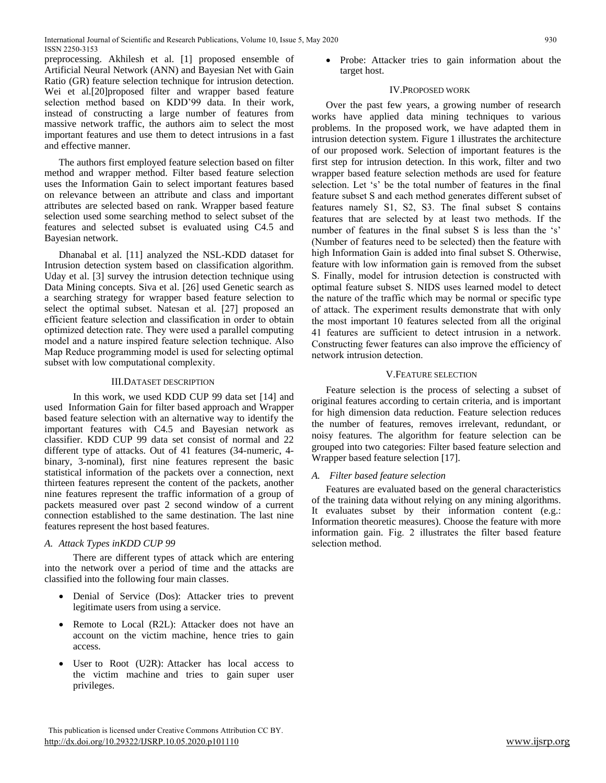preprocessing. Akhilesh et al. [1] proposed ensemble of Artificial Neural Network (ANN) and Bayesian Net with Gain Ratio (GR) feature selection technique for intrusion detection. Wei et al.[20]proposed filter and wrapper based feature selection method based on KDD'99 data. In their work, instead of constructing a large number of features from massive network traffic, the authors aim to select the most important features and use them to detect intrusions in a fast and effective manner.

The authors first employed feature selection based on filter method and wrapper method. Filter based feature selection uses the Information Gain to select important features based on relevance between an attribute and class and important attributes are selected based on rank. Wrapper based feature selection used some searching method to select subset of the features and selected subset is evaluated using C4.5 and Bayesian network.

Dhanabal et al. [11] analyzed the NSL-KDD dataset for Intrusion detection system based on classification algorithm. Uday et al. [3] survey the intrusion detection technique using Data Mining concepts. Siva et al. [26] used Genetic search as a searching strategy for wrapper based feature selection to select the optimal subset. Natesan et al. [27] proposed an efficient feature selection and classification in order to obtain optimized detection rate. They were used a parallel computing model and a nature inspired feature selection technique. Also Map Reduce programming model is used for selecting optimal subset with low computational complexity.

# III.DATASET DESCRIPTION

In this work, we used KDD CUP 99 data set [14] and used Information Gain for filter based approach and Wrapper based feature selection with an alternative way to identify the important features with C4.5 and Bayesian network as classifier. KDD CUP 99 data set consist of normal and 22 different type of attacks. Out of 41 features (34-numeric, 4 binary, 3-nominal), first nine features represent the basic statistical information of the packets over a connection, next thirteen features represent the content of the packets, another nine features represent the traffic information of a group of packets measured over past 2 second window of a current connection established to the same destination. The last nine features represent the host based features.

# *A. Attack Types inKDD CUP 99*

There are different types of attack which are entering into the network over a period of time and the attacks are classified into the following four main classes.

- Denial of Service (Dos): Attacker tries to prevent legitimate users from using a service.
- Remote to Local (R2L): Attacker does not have an account on the victim machine, hence tries to gain access.
- User to Root (U2R): Attacker has local access to the victim machine and tries to gain super user privileges.

• Probe: Attacker tries to gain information about the target host.

## IV.PROPOSED WORK

Over the past few years, a growing number of research works have applied data mining techniques to various problems. In the proposed work, we have adapted them in intrusion detection system. Figure 1 illustrates the architecture of our proposed work. Selection of important features is the first step for intrusion detection. In this work, filter and two wrapper based feature selection methods are used for feature selection. Let 's' be the total number of features in the final feature subset S and each method generates different subset of features namely S1, S2, S3. The final subset S contains features that are selected by at least two methods. If the number of features in the final subset S is less than the 's' (Number of features need to be selected) then the feature with high Information Gain is added into final subset S. Otherwise, feature with low information gain is removed from the subset S. Finally, model for intrusion detection is constructed with optimal feature subset S. NIDS uses learned model to detect the nature of the traffic which may be normal or specific type of attack. The experiment results demonstrate that with only the most important 10 features selected from all the original 41 features are sufficient to detect intrusion in a network. Constructing fewer features can also improve the efficiency of network intrusion detection.

# V.FEATURE SELECTION

Feature selection is the process of selecting a subset of original features according to certain criteria, and is important for high dimension data reduction. Feature selection reduces the number of features, removes irrelevant, redundant, or noisy features. The algorithm for feature selection can be grouped into two categories: Filter based feature selection and Wrapper based feature selection [17].

# *A. Filter based feature selection*

Features are evaluated based on the general characteristics of the training data without relying on any mining algorithms. It evaluates subset by their information content (e.g.: Information theoretic measures). Choose the feature with more information gain. Fig. 2 illustrates the filter based feature selection method.

This publication is licensed under Creative Commons Attribution CC BY. <http://dx.doi.org/10.29322/IJSRP.10.05.2020.p101110> [www.ijsrp.org](http://ijsrp.org/)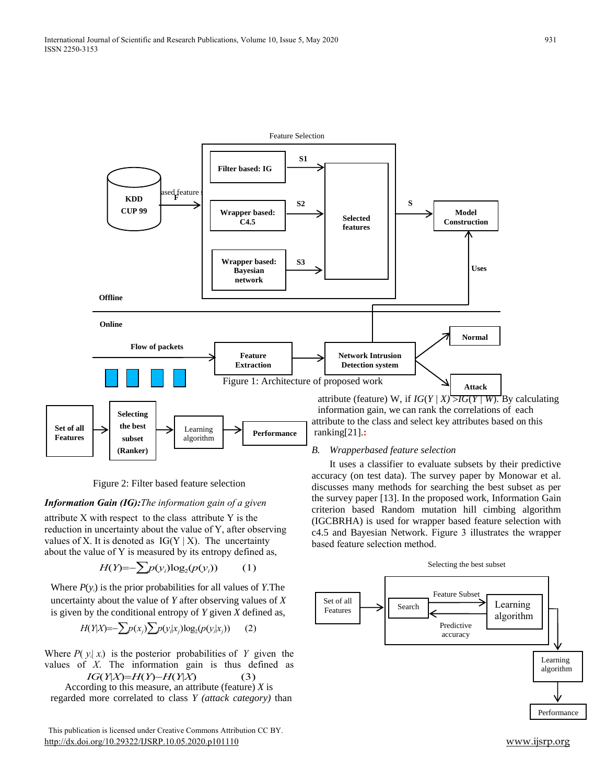

Figure 2: Filter based feature selection

# *Information Gain (IG):The information gain of a given*

attribute X with respect to the class attribute Y is the reduction in uncertainty about the value of Y, after observing values of X. It is denoted as  $IG(Y | X)$ . The uncertainty about the value of Y is measured by its entropy defined as,

$$
H(Y) = -\sum p(y_i) \log_2(p(y_i)) \tag{1}
$$

Where *P*(*yi*) is the prior probabilities for all values of *Y*.The uncertainty about the value of *Y* after observing values of *X*  is given by the conditional entropy of *Y* given *X* defined as,

$$
H(Y|X) = -\sum p(x_j) \sum p(y_i|x_j) \log_2(p(y_i|x_j)) \qquad (2)
$$

Where  $P(y_i|x_i)$  is the posterior probabilities of Y given the values of *X*. The information gain is thus defined as  $IG(Y|X) = H(Y) - H(Y|X)$  (3)

According to this measure, an attribute (feature) *X* is

regarded more correlated to class *Y (attack category)* than

 This publication is licensed under Creative Commons Attribution CC BY. <http://dx.doi.org/10.29322/IJSRP.10.05.2020.p101110> [www.ijsrp.org](http://ijsrp.org/)

attribute to the class and select key attributes based on this *B. Wrapperbased feature selection* It uses a classifier to evaluate subsets by their predictive

accuracy (on test data). The survey paper by Monowar et al. discusses many methods for searching the best subset as per the survey paper [13]. In the proposed work, Information Gain criterion based Random mutation hill cimbing algorithm (IGCBRHA) is used for wrapper based feature selection with c4.5 and Bayesian Network. Figure 3 illustrates the wrapper based feature selection method.

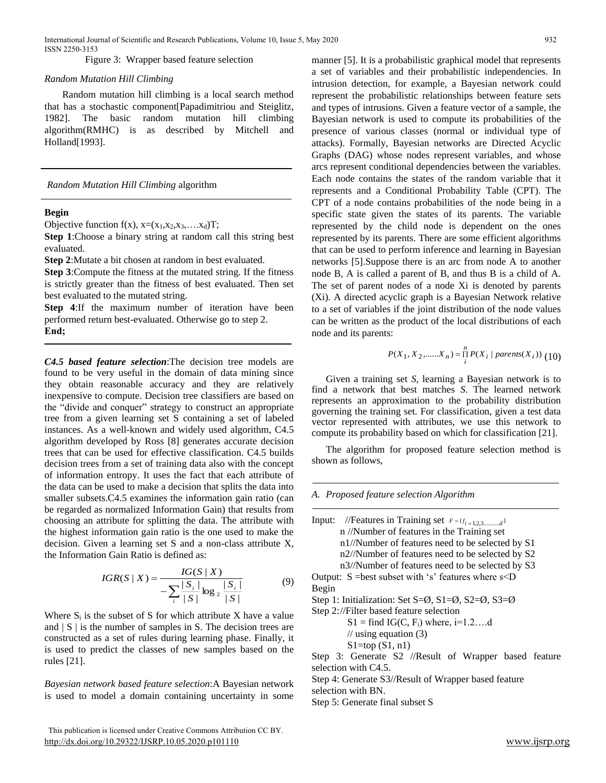Figure 3: Wrapper based feature selection

#### *Random Mutation Hill Climbing*

Random mutation hill climbing is a local search method that has a stochastic component[Papadimitriou and Steiglitz, 1982]. The basic random mutation hill climbing algorithm(RMHC) is as described by Mitchell and Holland[1993].

*Random Mutation Hill Climbing* algorithm

## **Begin**

Objective function  $f(x)$ ,  $x=(x_1,x_2,x_3,...x_d)T$ ;

**Step 1**:Choose a binary string at random call this string best evaluated.

**Step 2**:Mutate a bit chosen at random in best evaluated.

**Step 3**:Compute the fitness at the mutated string. If the fitness is strictly greater than the fitness of best evaluated. Then set best evaluated to the mutated string.

**Step 4**:If the maximum number of iteration have been performed return best-evaluated. Otherwise go to step 2. **End;**

*C4.5 based feature selection*:The decision tree models are found to be very useful in the domain of data mining since they obtain reasonable accuracy and they are relatively inexpensive to compute. Decision tree classifiers are based on the "divide and conquer" strategy to construct an appropriate tree from a given learning set S containing a set of labeled instances. As a well-known and widely used algorithm, C4.5 algorithm developed by Ross [8] generates accurate decision trees that can be used for effective classification. C4.5 builds decision trees from a set of training data also with the concept of information entropy. It uses the fact that each attribute of the data can be used to make a decision that splits the data into smaller subsets. C4.5 examines the information gain ratio (can be regarded as normalized Information Gain) that results from choosing an attribute for splitting the data. The attribute with the highest information gain ratio is the one used to make the decision. Given a learning set S and a non-class attribute X, the Information Gain Ratio is defined as:

$$
IGR(S | X) = \frac{IG(S | X)}{-\sum_{i} \frac{|S_i|}{|S|} \log_2 \frac{|S_i|}{|S|}}
$$
(9)

Where  $S_i$  is the subset of S for which attribute X have a value and  $|S|$  is the number of samples in S. The decision trees are constructed as a set of rules during learning phase. Finally, it is used to predict the classes of new samples based on the rules [21].

*Bayesian network based feature selection*:A Bayesian network is used to model a domain containing uncertainty in some

 This publication is licensed under Creative Commons Attribution CC BY. <http://dx.doi.org/10.29322/IJSRP.10.05.2020.p101110> [www.ijsrp.org](http://ijsrp.org/)

manner [5]. It is a probabilistic graphical model that represents a set of variables and their probabilistic independencies. In intrusion detection, for example, a Bayesian network could represent the probabilistic relationships between feature sets and types of intrusions. Given a feature vector of a sample, the Bayesian network is used to compute its probabilities of the presence of various classes (normal or individual type of attacks). Formally, Bayesian networks are Directed Acyclic Graphs (DAG) whose nodes represent variables, and whose arcs represent conditional dependencies between the variables. Each node contains the states of the random variable that it represents and a Conditional Probability Table (CPT). The CPT of a node contains probabilities of the node being in a specific state given the states of its parents. The variable represented by the child node is dependent on the ones represented by its parents. There are some efficient algorithms that can be used to perform inference and learning in Bayesian networks [5].Suppose there is an arc from node A to another node B, A is called a parent of B, and thus B is a child of A. The set of parent nodes of a node Xi is denoted by parents (Xi). A directed acyclic graph is a Bayesian Network relative to a set of variables if the joint distribution of the node values can be written as the product of the local distributions of each node and its parents:

$$
P(X_1, X_2, \dots, X_n) = \prod_{i}^{n} P(X_i \mid parents(X_i))
$$
 (10)

Given a training set *S*, learning a Bayesian network is to find a network that best matches *S*. The learned network represents an approximation to the probability distribution governing the training set. For classification, given a test data vector represented with attributes, we use this network to compute its probability based on which for classification [21].

The algorithm for proposed feature selection method is shown as follows,

*A. Proposed feature selection Algorithm*

| Input: //Features in Training set $F = \{f_{i=1,2,3,\dots,\ldots,d}\}\$                                  |
|----------------------------------------------------------------------------------------------------------|
| n //Number of features in the Training set                                                               |
| n1//Number of features need to be selected by S1                                                         |
| n2//Number of features need to be selected by S2                                                         |
| n3//Number of features need to be selected by S3                                                         |
| Output: $S = best$ subset with 's' features where $s < D$                                                |
| Begin                                                                                                    |
| Step 1: Initialization: Set S= $\varnothing$ , S1= $\varnothing$ , S2= $\varnothing$ , S3= $\varnothing$ |
| Step 2://Filter based feature selection                                                                  |
| $S1 = find IG(C, Fi)$ where, i=1.2d                                                                      |
| // using equation $(3)$                                                                                  |
| $S1 = top(S1, n1)$                                                                                       |
| Step 3: Generate S2 //Result of Wrapper based feature                                                    |
| selection with $C4.5$ .                                                                                  |
| Step 4: Generate S3//Result of Wrapper based feature                                                     |
| selection with BN.                                                                                       |
| Step 5: Generate final subset S                                                                          |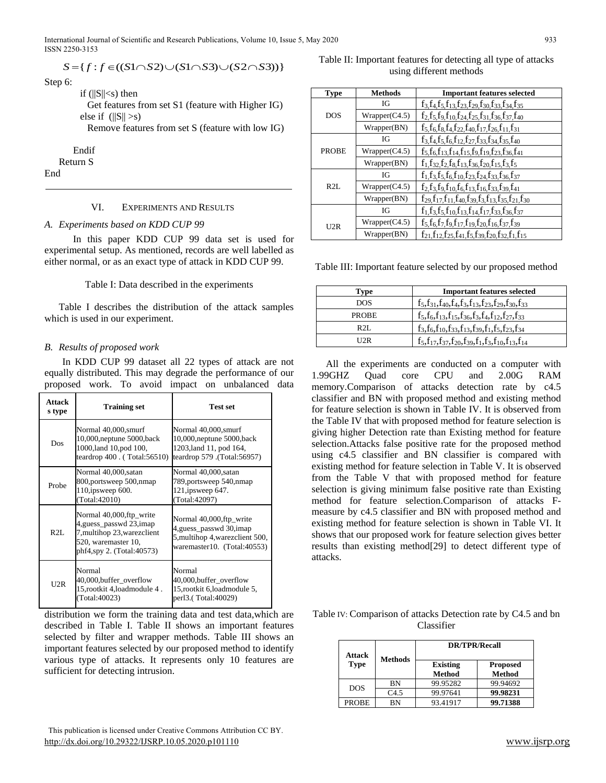International Journal of Scientific and Research Publications, Volume 10, Issue 5, May 2020 933 ISSN 2250-3153

$$
S = \{ f : f \in ((S1 \cap S2) \cup (S1 \cap S3) \cup (S2 \cap S3)) \}
$$

Step 6:

if  $(||S|| < s)$  then

Get features from set S1 (feature with Higher IG) else if  $(||S|| > s)$ 

Remove features from set S (feature with low IG)

Endif

Return S

End

# VI. EXPERIMENTS AND RESULTS

## *A. Experiments based on KDD CUP 99*

In this paper KDD CUP 99 data set is used for experimental setup. As mentioned, records are well labelled as either normal, or as an exact type of attack in KDD CUP 99.

## Table I: Data described in the experiments

Table I describes the distribution of the attack samples which is used in our experiment.

# *B. Results of proposed work*

In KDD CUP 99 dataset all 22 types of attack are not equally distributed. This may degrade the performance of our proposed work. To avoid impact on unbalanced data

| Attack<br>s type | <b>Training set</b>                                                                                                                      | <b>Test set</b>                                                                                                         |
|------------------|------------------------------------------------------------------------------------------------------------------------------------------|-------------------------------------------------------------------------------------------------------------------------|
| Dos              | Normal 40,000, smurf<br>10,000, neptune 5000, back<br>1000, land 10, pod 100,<br>teardrop $400$ . (Total: $56510$ )                      | Normal 40,000, smurf<br>10,000, neptune 5000, back<br>1203, land 11, pod 164,<br>teardrop 579 .(Total:56957)            |
| Probe            | Normal 40,000, satan<br>800, portsweep 500, nmap<br>110, ipsweep 600.<br>(Total:42010)                                                   | Normal 40,000, satan<br>789, portsweep 540, nmap<br>121, ipsweep 647.<br>(Total: 42097)                                 |
| R2L              | Normal 40,000, ftp_write<br>4, guess_passwd 23, imap<br>7, multihop 23, warez client<br>520, waremaster 10,<br>phf4,spy 2. (Total:40573) | Normal 40,000, ftp_write<br>4, guess_passwd 30, imap<br>5, multihop 4, warez client 500,<br>waremaster10. (Total:40553) |
| U2R              | Normal<br>40,000, buffer overflow<br>15, rootkit 4, load module 4.<br>(Total:40023)                                                      | Normal<br>40,000,buffer_overflow<br>15, rootkit 6, load module 5,<br>perl3.(Total:40029)                                |

distribution we form the training data and test data,which are described in Table I. Table II shows an important features selected by filter and wrapper methods. Table III shows an important features selected by our proposed method to identify various type of attacks. It represents only 10 features are sufficient for detecting intrusion.

 This publication is licensed under Creative Commons Attribution CC BY. <http://dx.doi.org/10.29322/IJSRP.10.05.2020.p101110> [www.ijsrp.org](http://ijsrp.org/)

Table II: Important features for detecting all type of attacks using different methods

| <b>Type</b>  | <b>Methods</b> | <b>Important features selected</b>                                              |
|--------------|----------------|---------------------------------------------------------------------------------|
|              | IG             | $f_3, f_4, f_5, f_{13}, f_{23}, f_{29}, f_{30}, f_{33}, f_{34}, f_{35}$         |
| DOS          | Wrapper(C4.5)  | $f_2, f_5, f_9, f_{10}, f_{24}, f_{25}, f_{31}, f_{36}, f_{37}, f_{40}$         |
|              | Wrapper(BN)    | $f_5, f_6, f_8, f_4, f_{22}, f_{40}, f_{17}, f_{26}, f_{11}, f_{31}$            |
|              | IG             | $f_3, f_4, f_5, f_6, f_{12}, f_{27}, f_{33}, f_{34}, f_{35}, f_{40}$            |
| <b>PROBE</b> | Wrapper(C4.5)  | $f_5, f_6, f_{13}, f_{14}, f_{15}, f_9, f_{19}, f_{23}, f_{36}, f_{41}$         |
|              | Wrapper(BN)    | $f_1, f_3, f_2, f_8, f_{13}, f_{36}, f_{20}, f_{15}, f_3, f_5$                  |
|              | IG             | $f_1, f_3, f_5, f_6, f_{10}, f_{23}, f_{24}, f_{33}, f_{36}, f_{37}$            |
| R2L          | Wrapper(C4.5)  | $f_2, f_3, f_9, f_{10}, f_6, f_{13}, f_{16}, f_{33}, f_{39}, f_{41}$            |
|              | Wrapper(BN)    | $f_{29}, f_{17}, f_{11}, f_{40}, f_{39}, f_{3}, f_{13}, f_{35}, f_{21}, f_{30}$ |
|              | IG             | $f_1, f_3, f_5, f_{10}, f_{13}, f_{14}, f_{17}, f_{33}, f_{36}, f_{37}$         |
| U2R          | Wrapper(C4.5)  | $f_5, f_6, f_7, f_9, f_{17}, f_{19}, f_{20}, f_{16}, f_{37}, f_{39}$            |
|              | Wrapper(BN)    | $f_{21}, f_{12}, f_{25}, f_{41}, f_{5}, f_{39}, f_{20}, f_{32}, f_{1}, f_{15}$  |

Table III: Important feature selected by our proposed method

| Type         | <b>Important features selected</b>                                      |
|--------------|-------------------------------------------------------------------------|
| <b>DOS</b>   | $f_5, f_{31}, f_{40}, f_4, f_3, f_{13}, f_{23}, f_{29}, f_{30}, f_{33}$ |
| <b>PROBE</b> | $f_5, f_6, f_{13}, f_{15}, f_{36}, f_3, f_4, f_{12}, f_{27}, f_{33}$    |
| R2L          | $f_3, f_6, f_{10}, f_{33}, f_{13}, f_{39}, f_1, f_5, f_{23}, f_{34}$    |
| U2R          | $f_5, f_{17}, f_{37}, f_{20}, f_{39}, f_1, f_3, f_{10}, f_{13}, f_{14}$ |

All the experiments are conducted on a computer with 1.99GHZ Quad core CPU and 2.00G RAM memory.Comparison of attacks detection rate by c4.5 classifier and BN with proposed method and existing method for feature selection is shown in Table IV. It is observed from the Table IV that with proposed method for feature selection is giving higher Detection rate than Existing method for feature selection.Attacks false positive rate for the proposed method using c4.5 classifier and BN classifier is compared with existing method for feature selection in Table V. It is observed from the Table V that with proposed method for feature selection is giving minimum false positive rate than Existing method for feature selection.Comparison of attacks Fmeasure by c4.5 classifier and BN with proposed method and existing method for feature selection is shown in Table VI. It shows that our proposed work for feature selection gives better results than existing method[29] to detect different type of attacks.

Table IV: Comparison of attacks Detection rate by C4.5 and bn Classifier

| <b>Attack</b> |                | <b>DR/TPR/Recall</b>             |                                  |
|---------------|----------------|----------------------------------|----------------------------------|
| <b>Type</b>   | <b>Methods</b> | <b>Existing</b><br><b>Method</b> | <b>Proposed</b><br><b>Method</b> |
| <b>DOS</b>    | BN             | 99.95282                         | 99.94692                         |
|               | C4.5           | 99.97641                         | 99.98231                         |
| <b>PROBE</b>  | BN             | 93.41917                         | 99.71388                         |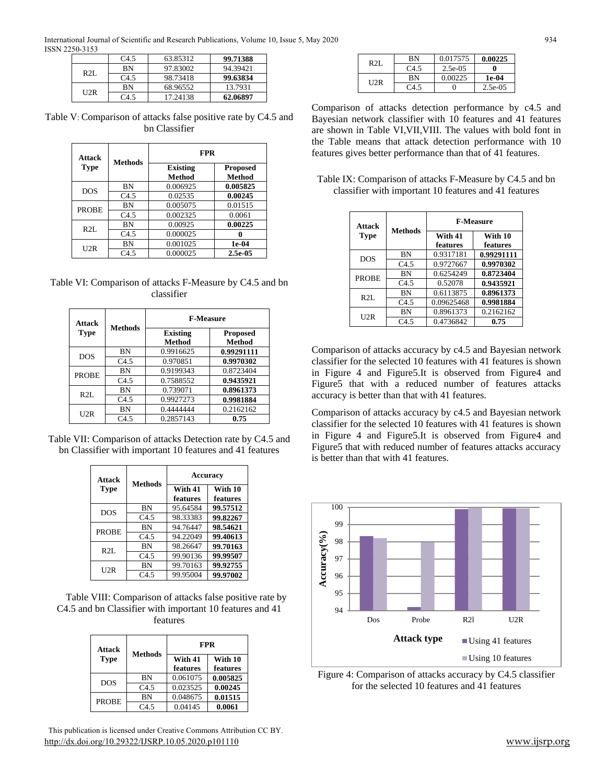International Journal of Scientific and Research Publications, Volume 10, Issue 5, May 2020 934 ISSN 2250-3153

|     | C4.5 | 63.85312 | 99.71388 |
|-----|------|----------|----------|
| R2L | ΒN   | 97.83002 | 94.39421 |
|     | C4.5 | 98.73418 | 99.63834 |
| U2R | ΒN   | 68.96552 | 13.7931  |
|     | C4.5 | 17.24138 | 62.06897 |

Table V: Comparison of attacks false positive rate by C4.5 and bn Classifier

| <b>Attack</b><br><b>Type</b> |                | <b>FPR</b>                |                           |
|------------------------------|----------------|---------------------------|---------------------------|
|                              | <b>Methods</b> | <b>Existing</b><br>Method | <b>Proposed</b><br>Method |
|                              | BN             | 0.006925                  | 0.005825                  |
| <b>DOS</b>                   | C4.5           | 0.02535                   | 0.00245                   |
| <b>PROBE</b>                 | <b>BN</b>      | 0.005075                  | 0.01515                   |
|                              | C4.5           | 0.002325                  | 0.0061                    |
| R2L                          | <b>BN</b>      | 0.00925                   | 0.00225                   |
|                              | C4.5           | 0.000025                  |                           |
| U2R                          | BN             | 0.001025                  | 1e-04                     |
|                              | C4.5           | 0.000025                  | 2.5e-05                   |

Table VI: Comparison of attacks F-Measure by C4.5 and bn classifier

| <b>Attack</b><br><b>Type</b> |                | <b>F-Measure</b>          |                                  |
|------------------------------|----------------|---------------------------|----------------------------------|
|                              | <b>Methods</b> | <b>Existing</b><br>Method | <b>Proposed</b><br><b>Method</b> |
| <b>DOS</b>                   | <b>BN</b>      | 0.9916625                 | 0.99291111                       |
|                              | C4.5           | 0.970851                  | 0.9970302                        |
| <b>PROBE</b>                 | <b>BN</b>      | 0.9199343                 | 0.8723404                        |
|                              | C4.5           | 0.7588552                 | 0.9435921                        |
| R2L                          | <b>BN</b>      | 0.739071                  | 0.8961373                        |
|                              | C4.5           | 0.9927273                 | 0.9981884                        |
| U2R                          | <b>BN</b>      | 0.4444444                 | 0.2162162                        |
|                              | C4.5           | 0.2857143                 | 0.75                             |

Table VII: Comparison of attacks Detection rate by C4.5 and bn Classifier with important 10 features and 41 features

| <b>Attack</b> | <b>Accuracy</b><br><b>Methods</b> |                     |                     |
|---------------|-----------------------------------|---------------------|---------------------|
| Type          |                                   | With 41<br>features | With 10<br>features |
|               | BN                                | 95.64584            | 99.57512            |
| <b>DOS</b>    | C4.5                              | 98.33383            | 99.82267            |
| <b>PROBE</b>  | BN                                | 94.76447            | 98.54621            |
|               | C4.5                              | 94.22049            | 99.40613            |
| R2L           | BN                                | 98.26647            | 99.70163            |
|               | C4.5                              | 99.90136            | 99.99507            |
| U2R           | BN                                | 99.70163            | 99.92755            |
|               | C4.5                              | 99.95004            | 99,97002            |

Table VIII: Comparison of attacks false positive rate by C4.5 and bn Classifier with important 10 features and 41 features

| Attack       |                |                     | <b>FPR</b>          |
|--------------|----------------|---------------------|---------------------|
| <b>Type</b>  | <b>Methods</b> | With 41<br>features | With 10<br>features |
| <b>DOS</b>   | BN             | 0.061075            | 0.005825            |
|              | C4.5           | 0.023525            | 0.00245             |
| <b>PROBE</b> | BN             | 0.048675            | 0.01515             |
|              | C4.5           | 0.04145             | 0.0061              |

 This publication is licensed under Creative Commons Attribution CC BY. <http://dx.doi.org/10.29322/IJSRP.10.05.2020.p101110> [www.ijsrp.org](http://ijsrp.org/)

| R2L  | ΒN               | 0.017575   | 0.00225    |
|------|------------------|------------|------------|
|      | C <sub>4.5</sub> | $2.5e-0.5$ |            |
| 112R | вN               | 0.00225    | 1e-04      |
|      | C4 5             |            | $2.5e-0.5$ |

Comparison of attacks detection performance by c4.5 and Bayesian network classifier with 10 features and 41 features are shown in Table VI,VII,VIII. The values with bold font in the Table means that attack detection performance with 10 features gives better performance than that of 41 features.

| Table IX: Comparison of attacks F-Measure by C4.5 and bn |
|----------------------------------------------------------|
| classifier with important 10 features and 41 features    |

| Attack<br>Type | <b>Methods</b>   | <b>F-Measure</b>    |                     |
|----------------|------------------|---------------------|---------------------|
|                |                  | With 41<br>features | With 10<br>features |
| <b>DOS</b>     | ΒN               | 0.9317181           | 0.99291111          |
|                | C <sub>4.5</sub> | 0.9727667           | 0.9970302           |
| <b>PROBE</b>   | ΒN               | 0.6254249           | 0.8723404           |
|                | C4.5             | 0.52078             | 0.9435921           |
| $R2I$ .        | ΒN               | 0.6113875           | 0.8961373           |
|                | C4.5             | 0.09625468          | 0.9981884           |
| U2R            | ΒN               | 0.8961373           | 0.2162162           |
|                | C4.5             | 0.4736842           | 0.75                |

Comparison of attacks accuracy by c4.5 and Bayesian network classifier for the selected 10 features with 41 features is shown in Figure 4 and Figure5.It is observed from Figure4 and Figure5 that with a reduced number of features attacks accuracy is better than that with 41 features.

Comparison of attacks accuracy by c4.5 and Bayesian network classifier for the selected 10 features with 41 features is shown in Figure 4 and Figure5.It is observed from Figure4 and Figure5 that with reduced number of features attacks accuracy is better than that with 41 features.



Figure 4: Comparison of attacks accuracy by C4.5 classifier for the selected 10 features and 41 features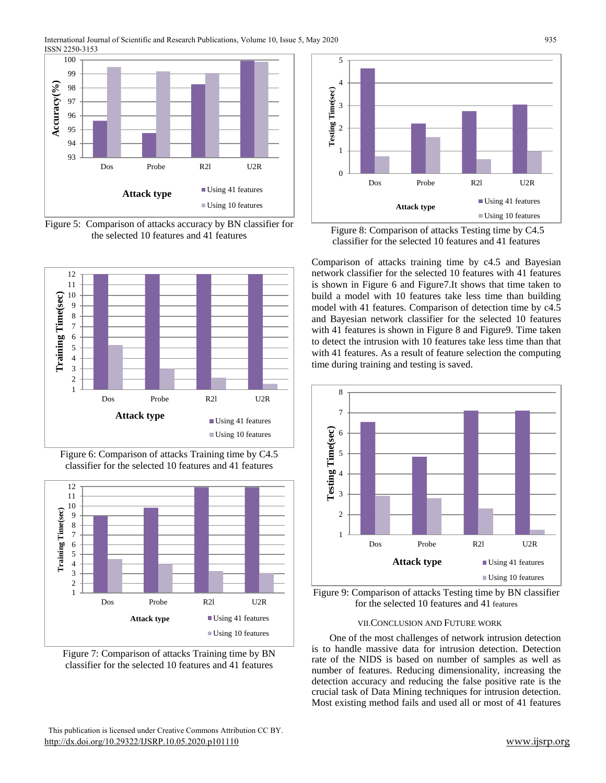

Figure 5: Comparison of attacks accuracy by BN classifier for the selected 10 features and 41 features







Figure 7: Comparison of attacks Training time by BN classifier for the selected 10 features and 41 features



Figure 8: Comparison of attacks Testing time by C4.5 classifier for the selected 10 features and 41 features

Comparison of attacks training time by c4.5 and Bayesian network classifier for the selected 10 features with 41 features is shown in Figure 6 and Figure7.It shows that time taken to build a model with 10 features take less time than building model with 41 features. Comparison of detection time by c4.5 and Bayesian network classifier for the selected 10 features with 41 features is shown in Figure 8 and Figure 9. Time taken to detect the intrusion with 10 features take less time than that with 41 features. As a result of feature selection the computing time during training and testing is saved.



Figure 9: Comparison of attacks Testing time by BN classifier for the selected 10 features and 41 features

# VII.CONCLUSION AND FUTURE WORK

One of the most challenges of network intrusion detection is to handle massive data for intrusion detection. Detection rate of the NIDS is based on number of samples as well as number of features. Reducing dimensionality, increasing the detection accuracy and reducing the false positive rate is the crucial task of Data Mining techniques for intrusion detection. Most existing method fails and used all or most of 41 features